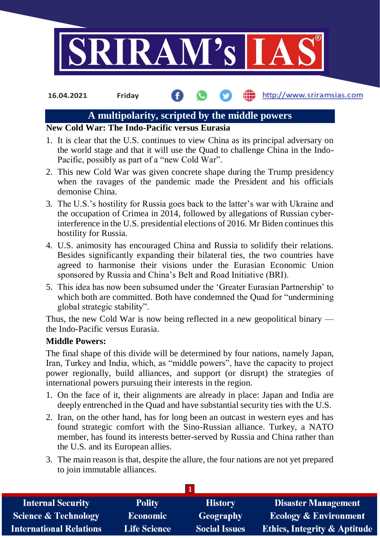

**16.04.2021 Friday**

# http://www.sriramsias.com

# **A multipolarity, scripted by the middle powers**

# **New Cold War: The Indo-Pacific versus Eurasia**

- 1. It is clear that the U.S. continues to view China as its principal adversary on the world stage and that it will use the Quad to challenge China in the Indo-Pacific, possibly as part of a "new Cold War".
- 2. This new Cold War was given concrete shape during the Trump presidency when the ravages of the pandemic made the President and his officials demonise China.
- 3. The U.S.'s hostility for Russia goes back to the latter's war with Ukraine and the occupation of Crimea in 2014, followed by allegations of Russian cyberinterference in the U.S. presidential elections of 2016. Mr Biden continues this hostility for Russia.
- 4. U.S. animosity has encouraged China and Russia to solidify their relations. Besides significantly expanding their bilateral ties, the two countries have agreed to harmonise their visions under the Eurasian Economic Union sponsored by Russia and China's Belt and Road Initiative (BRI).
- 5. This idea has now been subsumed under the 'Greater Eurasian Partnership' to which both are committed. Both have condemned the Quad for "undermining global strategic stability".

Thus, the new Cold War is now being reflected in a new geopolitical binary the Indo-Pacific versus Eurasia.

# **Middle Powers:**

The final shape of this divide will be determined by four nations, namely Japan, Iran, Turkey and India, which, as "middle powers", have the capacity to project power regionally, build alliances, and support (or disrupt) the strategies of international powers pursuing their interests in the region.

- 1. On the face of it, their alignments are already in place: Japan and India are deeply entrenched in the Quad and have substantial security ties with the U.S.
- 2. Iran, on the other hand, has for long been an outcast in western eyes and has found strategic comfort with the Sino-Russian alliance. Turkey, a NATO member, has found its interests better-served by Russia and China rather than the U.S. and its European allies.
- 3. The main reason is that, despite the allure, the four nations are not yet prepared to join immutable alliances.

| <b>Internal Security</b>        | <b>Polity</b>       | <b>History</b>       | <b>Disaster Management</b>              |
|---------------------------------|---------------------|----------------------|-----------------------------------------|
| <b>Science &amp; Technology</b> | <b>Economic</b>     | <b>Geography</b>     | <b>Ecology &amp; Environment</b>        |
| International Relations         | <b>Life Science</b> | <b>Social Issues</b> | <b>Ethics, Integrity &amp; Aptitude</b> |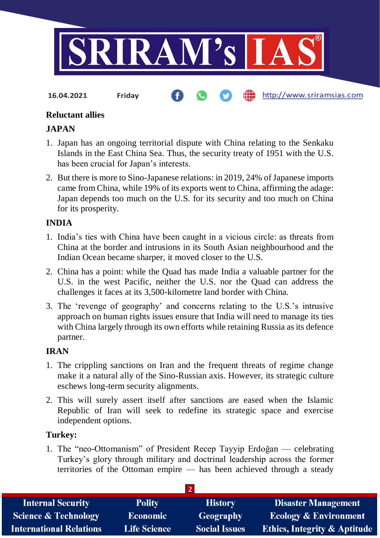

**16.04.2021 Friday**

http://www.sriramsias.com

# **Reluctant allies**

#### **JAPAN**

- 1. Japan has an ongoing territorial dispute with China relating to the Senkaku Islands in the East China Sea. Thus, the security treaty of 1951 with the U.S. has been crucial for Japan's interests.
- 2. But there is more to Sino-Japanese relations: in 2019, 24% of Japanese imports came from China, while 19% of its exports went to China, affirming the adage: Japan depends too much on the U.S. for its security and too much on China for its prosperity.

#### **INDIA**

- 1. India's ties with China have been caught in a vicious circle: as threats from China at the border and intrusions in its South Asian neighbourhood and the Indian Ocean became sharper, it moved closer to the U.S.
- 2. China has a point: while the Quad has made India a valuable partner for the U.S. in the west Pacific, neither the U.S. nor the Quad can address the challenges it faces at its 3,500-kilometre land border with China.
- 3. The 'revenge of geography' and concerns relating to the U.S.'s intrusive approach on human rights issues ensure that India will need to manage its ties with China largely through its own efforts while retaining Russia as its defence partner.

# **IRAN**

- 1. The crippling sanctions on Iran and the frequent threats of regime change make it a natural ally of the Sino-Russian axis. However, its strategic culture eschews long-term security alignments.
- 2. This will surely assert itself after sanctions are eased when the Islamic Republic of Iran will seek to redefine its strategic space and exercise independent options.

#### **Turkey:**

1. The "neo-Ottomanism" of President Recep Tayyip Erdoğan — celebrating Turkey's glory through military and doctrinal leadership across the former territories of the Ottoman empire — has been achieved through a steady

| <b>Internal Security</b>        | <b>Polity</b>       | <b>History</b>       | <b>Disaster Management</b>              |
|---------------------------------|---------------------|----------------------|-----------------------------------------|
| <b>Science &amp; Technology</b> | <b>Economic</b>     | <b>Geography</b>     | <b>Ecology &amp; Environment</b>        |
| <b>International Relations</b>  | <b>Life Science</b> | <b>Social Issues</b> | <b>Ethics, Integrity &amp; Aptitude</b> |